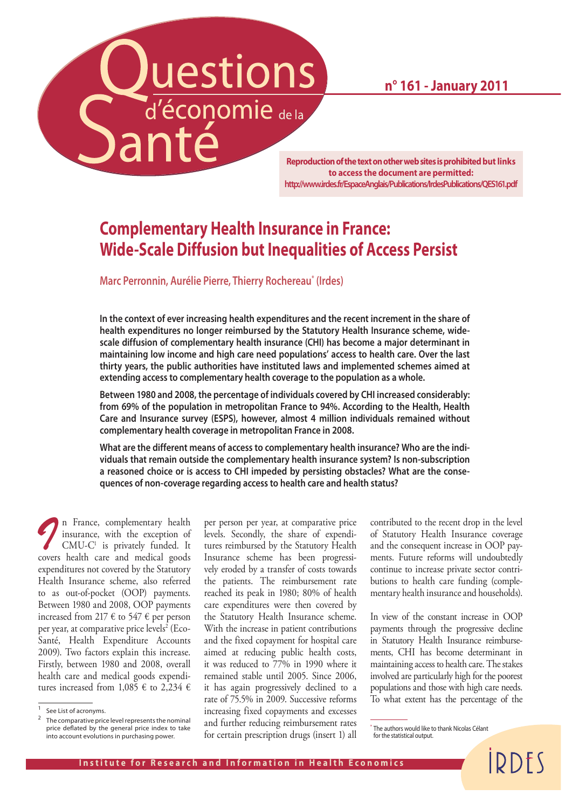**n° 161 - January 2011**

**Reproduction of the text on other web sites is prohibited but links to access the document are permitted: http://www.irdes.fr/EspaceAnglais/Publications/IrdesPublications/QES161.pdf**

# **Complementary Health Insurance in France: Wide-Scale Diffusion but Inequalities of Access Persist**

**Marc Perronnin, Aurélie Pierre, Thierry Rochereau\* (Irdes)**

uestions

d'économie de la

**In the context of ever increasing health expenditures and the recent increment in the share of health expenditures no longer reimbursed by the Statutory Health Insurance scheme, widescale diffusion of complementary health insurance (CHI) has become a major determinant in maintaining low income and high care need populations' access to health care. Over the last thirty years, the public authorities have instituted laws and implemented schemes aimed at extending access to complementary health coverage to the population as a whole.** 

**Between 1980 and 2008, the percentage of individuals covered by CHI increased considerably: from 69% of the population in metropolitan France to 94%. According to the Health, Health Care and Insurance survey (ESPS), however, almost 4 million individuals remained without complementary health coverage in metropolitan France in 2008.**

**What are the different means of access to complementary health insurance? Who are the individuals that remain outside the complementary health insurance system? Is non-subscription a reasoned choice or is access to CHI impeded by persisting obstacles? What are the consequences of non-coverage regarding access to health care and health status?** 

*I* n France, complementary health insurance, with the exception of CMU-C<sup>1</sup> is privately funded. It insurance, with the exception of  $CMU-C<sup>1</sup>$  is privately funded. It covers health care and medical goods expenditures not covered by the Statutory Health Insurance scheme, also referred to as out-of-pocket (OOP) payments. Between 1980 and 2008, OOP payments increased from 217  $\epsilon$  to 547  $\epsilon$  per person per year, at comparative price levels<sup>2</sup> (Eco-Santé, Health Expenditure Accounts 2009). Two factors explain this increase. Firstly, between 1980 and 2008, overall health care and medical goods expenditures increased from 1,085  $\epsilon$  to 2,234  $\epsilon$ 

per person per year, at comparative price levels. Secondly, the share of expenditures reimbursed by the Statutory Health Insurance scheme has been progressively eroded by a transfer of costs towards the patients. The reimbursement rate reached its peak in 1980; 80% of health care expenditures were then covered by the Statutory Health Insurance scheme. With the increase in patient contributions and the fixed copayment for hospital care aimed at reducing public health costs, it was reduced to 77% in 1990 where it remained stable until 2005. Since 2006, it has again progressively declined to a rate of 75.5% in 2009. Successive reforms increasing fixed copayments and excesses and further reducing reimbursement rates for certain prescription drugs (insert 1) all contributed to the recent drop in the level of Statutory Health Insurance coverage and the consequent increase in OOP payments. Future reforms will undoubtedly continue to increase private sector contributions to health care funding (complementary health insurance and households).

In view of the constant increase in OOP payments through the progressive decline in Statutory Health Insurance reimbursements, CHI has become determinant in maintaining access to health care. The stakes involved are particularly high for the poorest populations and those with high care needs. To what extent has the percentage of the

*IRDES* 

<sup>&</sup>lt;sup>1</sup> See List of acronyms.

<sup>&</sup>lt;sup>2</sup> The comparative price level represents the nominal price deflated by the general price index to take into account evolutions in purchasing power.

The authors would like to thank Nicolas Célant for the statistical output.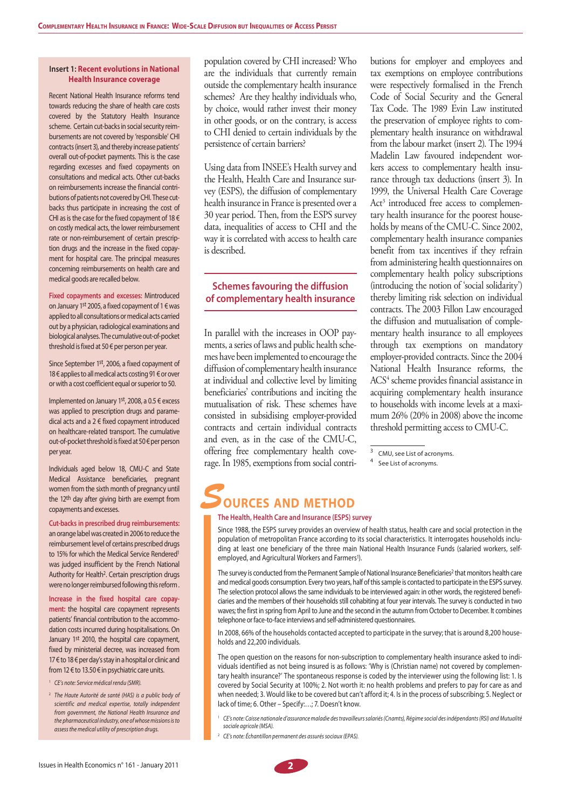#### **Insert 1: Recent evolutions in National Health Insurance coverage**

Recent National Health Insurance reforms tend towards reducing the share of health care costs covered by the Statutory Health Insurance scheme. Certain cut-backs in social security reimbursements are not covered by 'responsible' CHI contracts (insert 3), and thereby increase patients' overall out-of-pocket payments. This is the case regarding excesses and fixed copayments on consultations and medical acts. Other cut-backs on reimbursements increase the financial contributions of patients not covered by CHI. These cutbacks thus participate in increasing the cost of CHI as is the case for the fixed copayment of 18  $\epsilon$ on costly medical acts, the lower reimbursement rate or non-reimbursement of certain prescription drugs and the increase in the fixed copayment for hospital care. The principal measures concerning reimbursements on health care and medical goods are recalled below.

**Fixed copayments and excesses:** Mintroduced on January 1st 2005, a fixed copayment of 1 € was applied to all consultations or medical acts carried out by a physician, radiological examinations and biological analyses. The cumulative out-of-pocket threshold is fixed at 50 € per person per year.

Since September 1st, 2006, a fixed copayment of 18 € applies to all medical acts costing 91 € or over or with a cost coefficient equal or superior to 50.

Implemented on January 1st, 2008, a 0.5  $\epsilon$  excess was applied to prescription drugs and paramedical acts and a 2 € fixed copayment introduced on healthcare-related transport. The cumulative out-of-pocket threshold is fixed at 50 € per person per year.

Individuals aged below 18, CMU-C and State Medical Assistance beneficiaries, pregnant women from the sixth month of pregnancy until the 12<sup>th</sup> day after giving birth are exempt from copayments and excesses.

**Cut-backs in prescribed drug reimbursements:**  an orange label was created in 2006 to reduce the reimbursement level of certains prescribed drugs to 15% for which the Medical Service Rendered1 was judged insufficient by the French National Authority for Health2. Certain prescription drugs were no longer reimbursed following this reform .

**Increase in the fixed hospital care copayment:** the hospital care copayment represents patients' financial contribution to the accommodation costs incurred during hospitalisations. On January 1st 2010, the hospital care copayment, fixed by ministerial decree, was increased from 17 € to 18 € per day's stay in a hospital or clinic and from 12 € to 13.50 € in psychiatric care units.

- <sup>1</sup>*CE's note: Service médical rendu (SMR).*
- <sup>2</sup>*The Haute Autorité de santé (HAS) is a public body of scientific and medical expertise, totally independent from government, the National Health Insurance and the pharmaceutical industry, one of whose missions is to assess the medical utility of prescription drugs.*

population covered by CHI increased? Who are the individuals that currently remain outside the complementary health insurance schemes? Are they healthy individuals who, by choice, would rather invest their money in other goods, or on the contrary, is access to CHI denied to certain individuals by the persistence of certain barriers?

Using data from INSEE's Health survey and the Health, Health Care and Insurance survey (ESPS), the diffusion of complementary health insurance in France is presented over a 30 year period. Then, from the ESPS survey data, inequalities of access to CHI and the way it is correlated with access to health care is described.

### **Schemes favouring the diffusion of complementary health insurance**

In parallel with the increases in OOP payments, a series of laws and public health schemes have been implemented to encourage the diffusion of complementary health insurance at individual and collective level by limiting beneficiaries' contributions and inciting the mutualisation of risk. These schemes have consisted in subsidising employer-provided contracts and certain individual contracts and even, as in the case of the CMU-C, offering free complementary health coverage. In 1985, exemptions from social contributions for employer and employees and tax exemptions on employee contributions were respectively formalised in the French Code of Social Security and the General Tax Code. The 1989 Evin Law instituted the preservation of employee rights to complementary health insurance on withdrawal from the labour market (insert 2). The 1994 Madelin Law favoured independent workers access to complementary health insurance through tax deductions (insert 3). In 1999, the Universal Health Care Coverage Act<sup>3</sup> introduced free access to complementary health insurance for the poorest households by means of the CMU-C. Since 2002, complementary health insurance companies benefit from tax incentives if they refrain from administering health questionnaires on complementary health policy subscriptions (introducing the notion of 'social solidarity') thereby limiting risk selection on individual contracts. The 2003 Fillon Law encouraged the diffusion and mutualisation of complementary health insurance to all employees through tax exemptions on mandatory employer-provided contracts. Since the 2004 National Health Insurance reforms, the ACS<sup>4</sup> scheme provides financial assistance in acquiring complementary health insurance to households with income levels at a maximum 26% (20% in 2008) above the income threshold permitting access to CMU-C.

# **OURCES AND METHOD**

#### **The Health, Health Care and Insurance (ESPS) survey**

Since 1988, the ESPS survey provides an overview of health status, health care and social protection in the population of metropolitan France according to its social characteristics. It interrogates households including at least one beneficiary of the three main National Health Insurance Funds (salaried workers, selfemployed, and Agricultural Workers and Farmers<sup>1</sup>).

The survey is conducted from the Permanent Sample of National Insurance Beneficiaries<sup>2</sup> that monitors health care and medical goods consumption. Every two years, half of this sample is contacted to participate in the ESPS survey. The selection protocol allows the same individuals to be interviewed again: in other words, the registered beneficiaries and the members of their households still cohabiting at four year intervals. The survey is conducted in two waves; the first in spring from April to June and the second in the autumn from October to December. It combines telephone or face-to-face interviews and self-administered questionnaires.

In 2008, 66% of the households contacted accepted to participate in the survey; that is around 8,200 households and 22,200 individuals.

The open question on the reasons for non-subscription to complementary health insurance asked to individuals identified as not being insured is as follows: 'Why is (Christian name) not covered by complementary health insurance?' The spontaneous response is coded by the interviewer using the following list: 1. Is covered by Social Security at 100%; 2. Not worth it: no health problems and prefers to pay for care as and when needed; 3. Would like to be covered but can't afford it; 4. Is in the process of subscribing; 5. Neglect or lack of time; 6. Other – Specify:…; 7. Doesn't know.

- <sup>1</sup>*CE's note: Caisse nationale d'assurance maladie des travailleurs salariés (Cnamts), Régime social des indépendants (RSI) and Mutualité sociale agricole (MSA).*
- <sup>2</sup>*CE's note: Échantillon permanent des assurés sociaux (EPAS).*

<sup>&</sup>lt;sup>3</sup> CMU, see List of acronyms.

<sup>4</sup> See List of acronyms.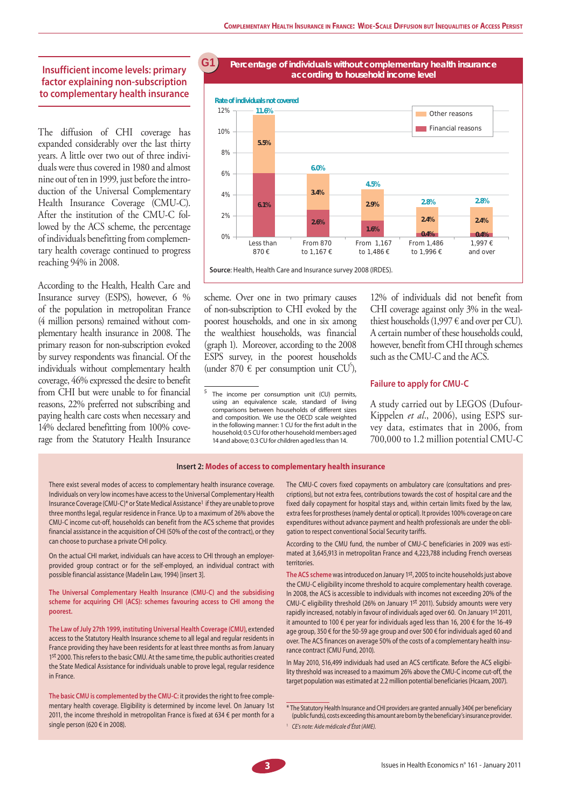### **Insufficient income levels: primary factor explaining non-subscription to complementary health insurance**

The diffusion of CHI coverage has expanded considerably over the last thirty years. A little over two out of three individuals were thus covered in 1980 and almost nine out of ten in 1999, just before the introduction of the Universal Complementary Health Insurance Coverage (CMU-C). After the institution of the CMU-C followed by the ACS scheme, the percentage of individuals benefitting from complementary health coverage continued to progress reaching 94% in 2008.

According to the Health, Health Care and Insurance survey (ESPS), however, 6 % of the population in metropolitan France (4 million persons) remained without complementary health insurance in 2008. The primary reason for non-subscription evoked by survey respondents was financial. Of the individuals without complementary health coverage, 46% expressed the desire to benefit from CHI but were unable to for financial reasons, 22% preferred not subscribing and paying health care costs when necessary and 14% declared benefitting from 100% coverage from the Statutory Health Insurance

#### **Percentage of individuals without complementary health insurance according to household income level G1**



scheme. Over one in two primary causes of non-subscription to CHI evoked by the poorest households, and one in six among the wealthiest households, was financial (graph 1). Moreover, according to the 2008 ESPS survey, in the poorest households (under 870  $\in$  per consumption unit CU<sup>5</sup>),

12% of individuals did not benefit from CHI coverage against only 3% in the wealthiest households (1,997  $\in$  and over per CU). A certain number of these households could, however, benefit from CHI through schemes such as the CMU-C and the ACS.

#### **Failure to apply for CMU-C**

A study carried out by LEGOS (Dufour-Kippelen *et al*., 2006), using ESPS survey data, estimates that in 2006, from 700,000 to 1.2 million potential CMU-C

#### **Insert 2: Modes of access to complementary health insurance**

There exist several modes of access to complementary health insurance coverage. Individuals on very low incomes have access to the Universal Complementary Health Insurance Coverage (CMU-C)\* or State Medical Assistance<sup>1</sup> if they are unable to prove three months legal, regular residence in France. Up to a maximum of 26% above the CMU-C income cut-off, households can benefit from the ACS scheme that provides financial assistance in the acquisition of CHI (50% of the cost of the contract), or they can choose to purchase a private CHI policy.

On the actual CHI market, individuals can have access to CHI through an employerprovided group contract or for the self-employed, an individual contract with possible financial assistance (Madelin Law, 1994) [insert 3].

**The Universal Complementary Health Insurance (CMU-C) and the subsidising scheme for acquiring CHI (ACS): schemes favouring access to CHI among the poorest.**

**The Law of July 27th 1999, instituting Universal Health Coverage (CMU)**, extended access to the Statutory Health Insurance scheme to all legal and regular residents in France providing they have been residents for at least three months as from January 1st 2000. This refers to the basic CMU. At the same time, the public authorities created the State Medical Assistance for individuals unable to prove legal, regular residence in France.

**The basic CMU is complemented by the CMU-C:** it provides the right to free complementary health coverage. Eligibility is determined by income level. On January 1st 2011, the income threshold in metropolitan France is fixed at 634 € per month for a single person (620 € in 2008).

The CMU-C covers fixed copayments on ambulatory care (consultations and prescriptions), but not extra fees, contributions towards the cost of hospital care and the fixed daily copayment for hospital stays and, within certain limits fixed by the law, extra fees for prostheses (namely dental or optical). It provides 100% coverage on care expenditures without advance payment and health professionals are under the obligation to respect conventional Social Security tariffs.

According to the CMU fund, the number of CMU-C beneficiaries in 2009 was estimated at 3,645,913 in metropolitan France and 4,223,788 including French overseas territories.

**The ACS scheme** was introduced on January 1st, 2005 to incite households just above the CMU-C eligibility income threshold to acquire complementary health coverage. In 2008, the ACS is accessible to individuals with incomes not exceeding 20% of the CMU-C eligibility threshold (26% on January 1st 2011). Subsidy amounts were very rapidly increased, notably in favour of individuals aged over 60. On January 1st 2011, it amounted to 100  $\epsilon$  per year for individuals aged less than 16, 200  $\epsilon$  for the 16-49 age group, 350 € for the 50-59 age group and over 500 € for individuals aged 60 and over. The ACS finances on average 50% of the costs of a complementary health insurance contract (CMU Fund, 2010).

In May 2010, 516,499 individuals had used an ACS certificate. Before the ACS eligibility threshold was increased to a maximum 26% above the CMU-C income cut-off, the target population was estimated at 2.2 million potential beneficiaries (Hcaam, 2007).

<sup>5</sup> The income per consumption unit (CU) permits, using an equivalence scale, standard of living comparisons between households of different sizes and composition. We use the OECD scale weighted in the following manner: 1 CU for the first adult in the household; 0.5 CU for other household members aged 14 and above; 0.3 CU for children aged less than 14.

<sup>\*</sup> The Statutory Health Insurance and CHI providers are granted annually 340€ per beneficiary (public funds), costs exceeding this amount are born by the beneficiary's insurance provider.

<sup>1</sup>*CE's note: Aide médicale d'État (AME).*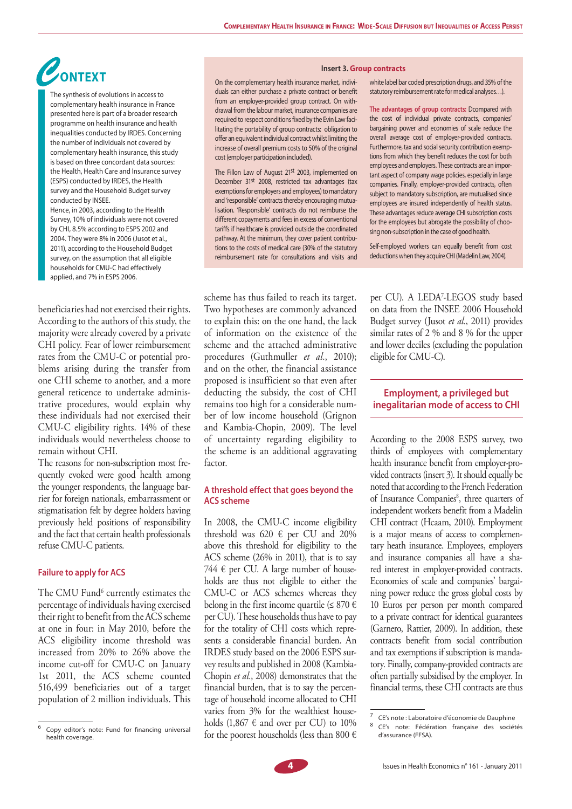# **CONTEXT** and the contracts of the complementary holds in under the state of the contracts **ONTEXT**

The synthesis of evolutions in access to complementary health insurance in France presented here is part of a broader research programme on health insurance and health inequalities conducted by IRDES. Concerning the number of individuals not covered by complementary health insurance, this study is based on three concordant data sources: the Health, Health Care and Insurance survey (ESPS) conducted by IRDES, the Health survey and the Household Budget survey conducted by INSEE. Hence, in 2003, according to the Health Survey, 10% of individuals were not covered by CHI, 8.5% according to ESPS 2002 and 2004. They were 8% in 2006 (Jusot et al., 2011), according to the Household Budget survey, on the assumption that all eligible

households for CMU-C had effectively applied, and 7% in ESPS 2006.

beneficiaries had not exercised their rights. According to the authors of this study, the majority were already covered by a private CHI policy. Fear of lower reimbursement rates from the CMU-C or potential problems arising during the transfer from one CHI scheme to another, and a more general reticence to undertake administrative procedures, would explain why these individuals had not exercised their CMU-C eligibility rights. 14% of these individuals would nevertheless choose to remain without CHI.

The reasons for non-subscription most frequently evoked were good health among the younger respondents, the language barrier for foreign nationals, embarrassment or stigmatisation felt by degree holders having previously held positions of responsibility and the fact that certain health professionals refuse CMU-C patients.

### **Failure to apply for ACS**

The CMU Fund<sup>6</sup> currently estimates the percentage of individuals having exercised their right to benefit from the ACS scheme at one in four: in May 2010, before the ACS eligibility income threshold was increased from 20% to 26% above the income cut-off for CMU-C on January 1st 2011, the ACS scheme counted 516,499 beneficiaries out of a target population of 2 million individuals. This

On the complementary health insurance market, individuals can either purchase a private contract or benefit from an employer-provided group contract. On withdrawal from the labour market, insurance companies are required to respect conditions fixed by the Evin Law facilitating the portability of group contracts: obligation to offer an equivalent individual contract whilst limiting the increase of overall premium costs to 50% of the original cost (employer participation included).

The Fillon Law of August 21<sup>st</sup> 2003, implemented on December 31<sup>st</sup> 2008, restricted tax advantages (tax exemptions for employers and employees) to mandatory and 'responsible' contracts thereby encouraging mutualisation. 'Responsible' contracts do not reimburse the different copayments and fees in excess of conventional tariffs if healthcare is provided outside the coordinated pathway. At the minimum, they cover patient contributions to the costs of medical care (30% of the statutory reimbursement rate for consultations and visits and

scheme has thus failed to reach its target. Two hypotheses are commonly advanced to explain this: on the one hand, the lack of information on the existence of the scheme and the attached administrative procedures (Guthmuller *et al.*, 2010); and on the other, the financial assistance proposed is insufficient so that even after deducting the subsidy, the cost of CHI remains too high for a considerable number of low income household (Grignon and Kambia-Chopin, 2009). The level of uncertainty regarding eligibility to the scheme is an additional aggravating factor.

#### **A threshold effect that goes beyond the ACS scheme**

In 2008, the CMU-C income eligibility threshold was 620  $\epsilon$  per CU and 20% above this threshold for eligibility to the ACS scheme (26% in 2011), that is to say 744 € per CU. A large number of households are thus not eligible to either the CMU-C or ACS schemes whereas they belong in the first income quartile ( $\leq 870 \in$ per CU). These households thus have to pay for the totality of CHI costs which represents a considerable financial burden. An IRDES study based on the 2006 ESPS survey results and published in 2008 (Kambia-Chopin *et al.*, 2008) demonstrates that the financial burden, that is to say the percentage of household income allocated to CHI varies from 3% for the wealthiest households  $(1,867 \in \text{and over per CU})$  to 10% for the poorest households (less than 800  $\epsilon$ 

white label bar coded prescription drugs, and 35% of the statutory reimbursement rate for medical analyses…).

**The advantages of group contracts:** Dcompared with the cost of individual private contracts, companies' bargaining power and economies of scale reduce the overall average cost of employer-provided contracts. Furthermore, tax and social security contribution exemptions from which they benefit reduces the cost for both employees and employers. These contracts are an important aspect of company wage policies, especially in large companies. Finally, employer-provided contracts, often subject to mandatory subscription, are mutualised since employees are insured independently of health status. These advantages reduce average CHI subscription costs for the employees but abrogate the possibility of choosing non-subscription in the case of good health.

Self-employed workers can equally benefit from cost deductions when they acquire CHI (Madelin Law, 2004).

per CU). A LEDA7 -LEGOS study based on data from the INSEE 2006 Household Budget survey (Jusot *et al.*, 2011) provides similar rates of 2 % and 8 % for the upper and lower deciles (excluding the population eligible for CMU-C).

## **Employment, a privileged but inegalitarian mode of access to CHI**

According to the 2008 ESPS survey, two thirds of employees with complementary health insurance benefit from employer-provided contracts (insert 3). It should equally be noted that according to the French Federation of Insurance Companies<sup>8</sup>, three quarters of independent workers benefit from a Madelin CHI contract (Hcaam, 2010). Employment is a major means of access to complementary heath insurance. Employees, employers and insurance companies all have a shared interest in employer-provided contracts. Economies of scale and companies' bargaining power reduce the gross global costs by 10 Euros per person per month compared to a private contract for identical guarantees (Garnero, Rattier, 2009). In addition, these contracts benefit from social contribution and tax exemptions if subscription is mandatory. Finally, company-provided contracts are often partially subsidised by the employer. In financial terms, these CHI contracts are thus



<sup>6</sup> Copy editor's note: Fund for financing universal health coverage.

<sup>7</sup> CE's note : Laboratoire d'économie de Dauphine

<sup>8</sup> CE's note: Fédération française des sociétés d'assurance (FFSA).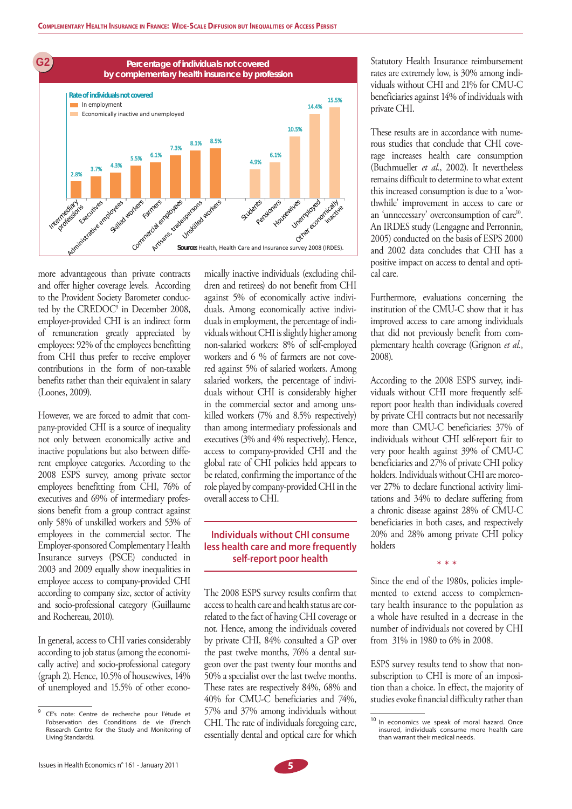

more advantageous than private contracts and offer higher coverage levels. According to the Provident Society Barometer conducted by the CREDOC9 in December 2008, employer-provided CHI is an indirect form of remuneration greatly appreciated by employees: 92% of the employees benefitting from CHI thus prefer to receive employer contributions in the form of non-taxable benefits rather than their equivalent in salary (Loones, 2009).

However, we are forced to admit that company-provided CHI is a source of inequality not only between economically active and inactive populations but also between different employee categories. According to the 2008 ESPS survey, among private sector employees benefitting from CHI, 76% of executives and 69% of intermediary professions benefit from a group contract against only 58% of unskilled workers and 53% of employees in the commercial sector. The Employer-sponsored Complementary Health Insurance surveys (PSCE) conducted in 2003 and 2009 equally show inequalities in employee access to company-provided CHI according to company size, sector of activity and socio-professional category (Guillaume and Rochereau, 2010).

In general, access to CHI varies considerably according to job status (among the economically active) and socio-professional category (graph 2). Hence, 10.5% of housewives, 14% of unemployed and 15.5% of other economically inactive individuals (excluding children and retirees) do not benefit from CHI against 5% of economically active individuals. Among economically active individuals in employment, the percentage of individuals without CHI is slightly higher among non-salaried workers: 8% of self-employed workers and 6 % of farmers are not covered against 5% of salaried workers. Among salaried workers, the percentage of individuals without CHI is considerably higher in the commercial sector and among unskilled workers (7% and 8.5% respectively) than among intermediary professionals and executives (3% and 4% respectively). Hence, access to company-provided CHI and the global rate of CHI policies held appears to be related, confirming the importance of the role played by company-provided CHI in the overall access to CHI.

## **Individuals without CHI consume less health care and more frequently self-report poor health**

The 2008 ESPS survey results confirm that access to health care and health status are correlated to the fact of having CHI coverage or not. Hence, among the individuals covered by private CHI, 84% consulted a GP over the past twelve months, 76% a dental surgeon over the past twenty four months and 50% a specialist over the last twelve months. These rates are respectively 84%, 68% and 40% for CMU-C beneficiaries and 74%, 57% and 37% among individuals without CHI. The rate of individuals foregoing care, essentially dental and optical care for which

Statutory Health Insurance reimbursement rates are extremely low, is 30% among individuals without CHI and 21% for CMU-C beneficiaries against 14% of individuals with private CHI.

These results are in accordance with numerous studies that conclude that CHI coverage increases health care consumption (Buchmueller *et al.*, 2002). It nevertheless remains difficult to determine to what extent this increased consumption is due to a 'worthwhile' improvement in access to care or an 'unnecessary' overconsumption of care<sup>10</sup>. An IRDES study (Lengagne and Perronnin, 2005) conducted on the basis of ESPS 2000 and 2002 data concludes that CHI has a positive impact on access to dental and optical care.

Furthermore, evaluations concerning the institution of the CMU-C show that it has improved access to care among individuals that did not previously benefit from complementary health coverage (Grignon *et al.*, 2008).

According to the 2008 ESPS survey, individuals without CHI more frequently selfreport poor health than individuals covered by private CHI contracts but not necessarily more than CMU-C beneficiaries: 37% of individuals without CHI self-report fair to very poor health against 39% of CMU-C beneficiaries and 27% of private CHI policy holders. Individuals without CHI are moreover 27% to declare functional activity limitations and 34% to declare suffering from a chronic disease against 28% of CMU-C beneficiaries in both cases, and respectively 20% and 28% among private CHI policy holders

Since the end of the 1980s, policies implemented to extend access to complementary health insurance to the population as a whole have resulted in a decrease in the number of individuals not covered by CHI from 31% in 1980 to 6% in 2008.

\* \* \*

ESPS survey results tend to show that nonsubscription to CHI is more of an imposition than a choice. In effect, the majority of studies evoke financial difficulty rather than

<sup>9</sup> CE's note: Centre de recherche pour l'étude et l'observation des Cconditions de vie (French Research Centre for the Study and Monitoring of Living Standards).

<sup>&</sup>lt;sup>10</sup> In economics we speak of moral hazard. Once insured, individuals consume more health care than warrant their medical needs.